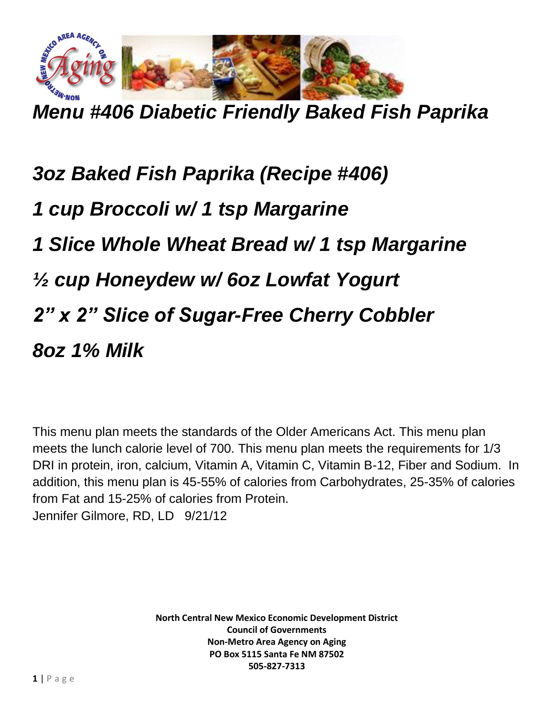

*Menu #406 Diabetic Friendly Baked Fish Paprika*

*3oz Baked Fish Paprika (Recipe #406) 1 cup Broccoli w/ 1 tsp Margarine 1 Slice Whole Wheat Bread w/ 1 tsp Margarine ½ cup Honeydew w/ 6oz Lowfat Yogurt 2" x 2" Slice of Sugar-Free Cherry Cobbler 8oz 1% Milk*

This menu plan meets the standards of the Older Americans Act. This menu plan meets the lunch calorie level of 700. This menu plan meets the requirements for 1/3 DRI in protein, iron, calcium, Vitamin A, Vitamin C, Vitamin B-12, Fiber and Sodium. In addition, this menu plan is 45-55% of calories from Carbohydrates, 25-35% of calories from Fat and 15-25% of calories from Protein. Jennifer Gilmore, RD, LD 9/21/12

> **North Central New Mexico Economic Development District Council of Governments Non-Metro Area Agency on Aging PO Box 5115 Santa Fe NM 87502 505-827-7313**